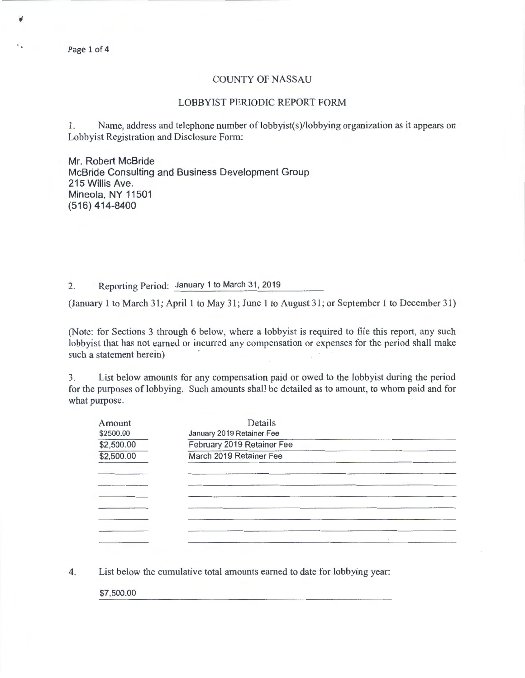Page 1 of 4

## COUNTY OF NASSAU

## LOBBYIST PERIODIC REPORT FORM

1. Name, address and telephone number of lobbyist(s)/lobbying organization as it appears on Lobbyist Registration and Disclosure Form:

Mr. Robert McBride McBride Consulting and Business Development Group 215 Willis Ave. Mineola, NY 11501 (516) 414-8400

2. Reporting Period: January 1 to March 31, 2019

(January 1 to March 31; April 1 to May 31; June 1 to August 31 ; or September 1 to December 31)

(Note: for Sections 3 through 6 below, where a lobbyist is required to file this report, any such lobbyist that has not earned or incurred any compensation or expenses for the period shall make such a statement herein)

3. List below amounts for any compensation paid or owed to the lobbyist during the period for the purposes of lobbying. Such amounts shall be detailed as to amount, to whom paid and for what purpose.

| Amount     | Details                    |  |
|------------|----------------------------|--|
| \$2500.00  | January 2019 Retainer Fee  |  |
| \$2,500.00 | February 2019 Retainer Fee |  |
| \$2,500.00 | March 2019 Retainer Fee    |  |
|            |                            |  |
|            |                            |  |
|            |                            |  |
|            |                            |  |
|            |                            |  |
|            |                            |  |
|            |                            |  |

4. List below the cumulative total amounts earned to date for lobbying year:

\$7,500.00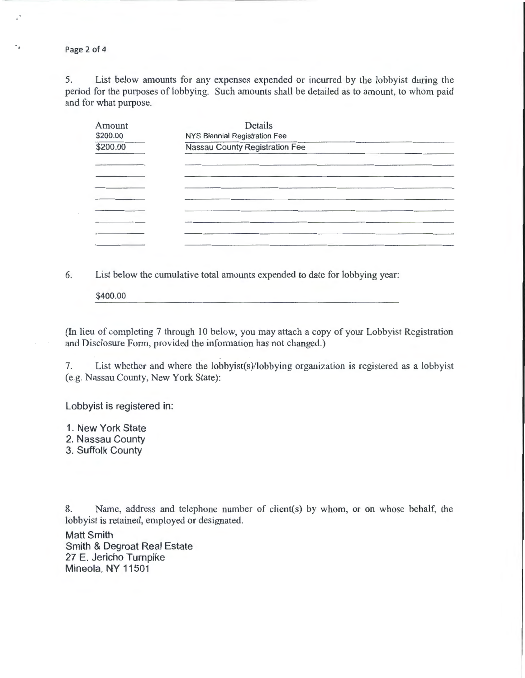Page 2 of 4

٠.

5. List below amounts for any expenses expended or incurred by the lobbyist during the period for the purposes of lobbying. Such amounts shall be detailed as to amount, to whom paid and for what purpose.

| Amount<br>\$200.00 | Details<br>NYS Biennial Registration Fee |  |
|--------------------|------------------------------------------|--|
| \$200.00           | Nassau County Registration Fee           |  |
|                    |                                          |  |
|                    |                                          |  |
|                    |                                          |  |
|                    |                                          |  |
|                    |                                          |  |
|                    |                                          |  |
|                    |                                          |  |
|                    |                                          |  |

6. List below the cumulative total amounts expended to date for lobbying year:

\$400.00

(In lieu of completing 7 through 10 below, you may attach a copy of your Lobbyist Registration and Disclosure Form, provided the information has not changed.)

7. List whether and where the lobbyist(s)/lobbying organization is registered as a lobbyist (e.g. Nassau County, New York State):

Lobbyist is registered in:

1. New York State

2. Nassau County

3. Suffolk County

8. Name, address and telephone number of client(s) by whom, or on whose behalf, the lobbyist is retained, employed or designated.

Matt Smith Smith & Degroat Real Estate 27 E. Jericho Turnpike Mineola, NY 11501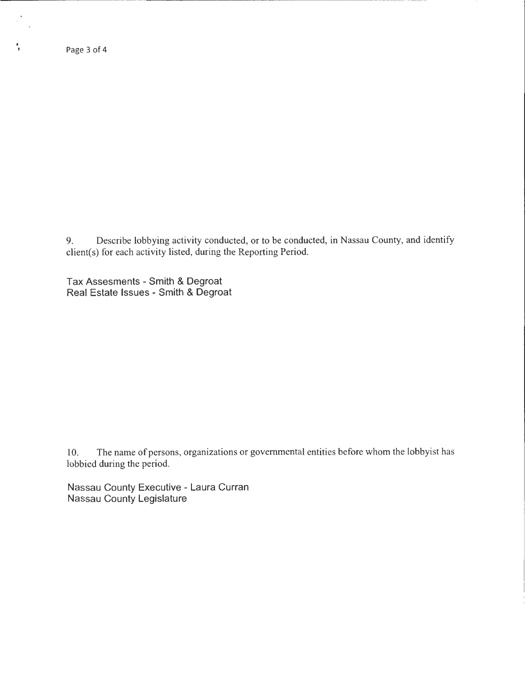.

 $\mathbb{R}^{\frac{1}{2}}$ 

9. Describe lobbying activity conducted, or to be conducted, in Nassau County, and identify client(s) for each activity listed, during the Reporting Period.

Tax Assesments- Smith & Degroat Real Estate Issues - Smith & Degroat

10. The name of persons, organizations or governmental entities before whom the lobbyist has lobbied during the period.

Nassau County Executive - Laura Curran Nassau County Legislature